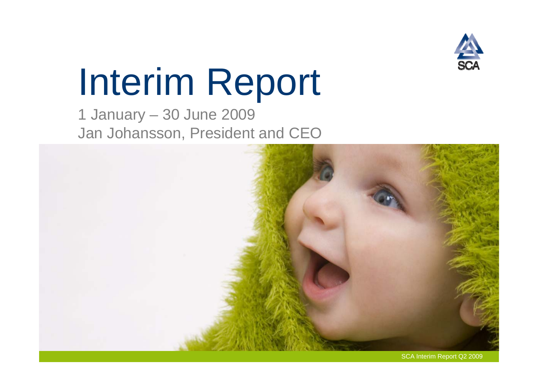

## Interim Report

1 January – 30 June 2009 Jan Johansson, President and CEO

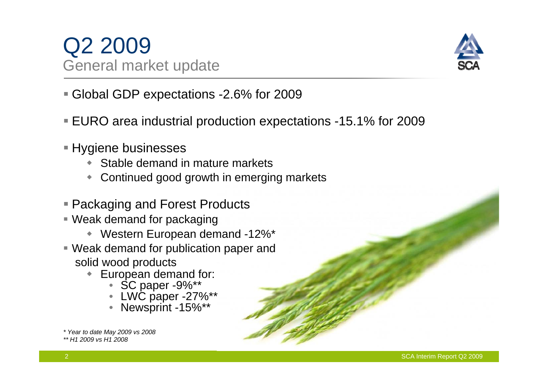## Q2 2009 General market update



- Global GDP expectations -2.6% for 2009
- EURO area industrial production expectations -15.1% for 2009
- Hygiene businesses
	- Stable demand in mature markets
	- Continued good growth in emerging markets
- Packaging and Forest Products
- Weak demand for packaging
	- $\blacklozenge$ Western European demand -12%\*
- Weak demand for publication paper and solid wood products
	- European demand for:
		- •SC paper -9%\*\*
		- •LWC paper -27%\*\*
		- Newsprint -15%\*\*

*<sup>\*</sup> Year to date May 2009 vs 2008* 

*<sup>\*\*</sup> H1 2009 vs H1 2008*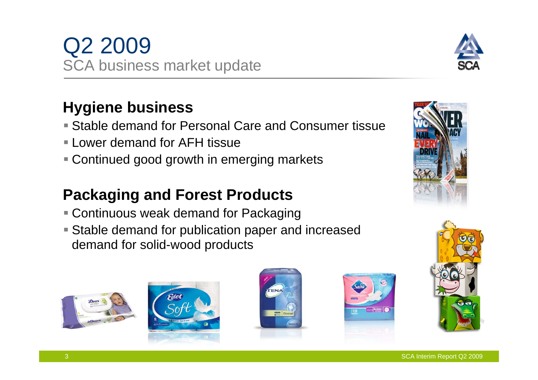

### **Hygiene business**

- Stable demand for Personal Care and Consumer tissue
- Lower demand for AFH tissue
- Continued good growth in emerging markets

## **Packaging and Forest Products**

- Continuous weak demand for Packaging
- Stable demand for publication paper and increased demand for solid-wood products













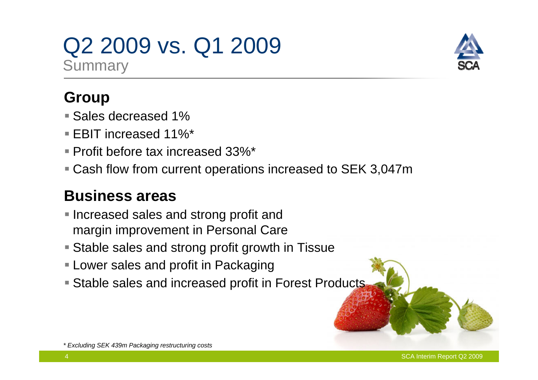## Q2 2009 vs. Q1 2009 **Summary**



## **Group**

- **Sales decreased 1%**
- EBIT increased 11%\*
- Profit before tax increased 33%\*
- Cash flow from current operations increased to SEK 3,047m

## **Business areas**

- **Increased sales and strong profit and** margin improvement in Personal Care
- Stable sales and strong profit growth in Tissue
- **Lower sales and profit in Packaging**
- Stable sales and increased profit in Forest Products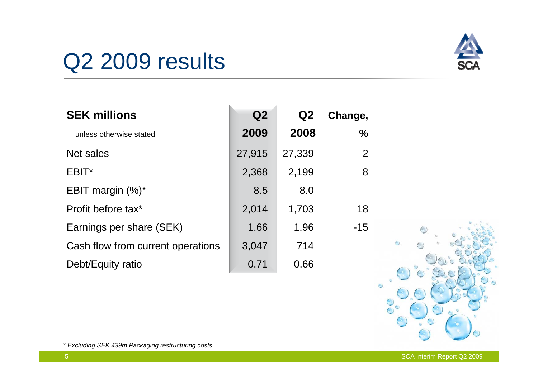

## Q<sub>2</sub> 2009 results

| <b>SEK millions</b>               | Q <sub>2</sub> | Q2     | Change,       |                   |
|-----------------------------------|----------------|--------|---------------|-------------------|
| unless otherwise stated           | 2009           | 2008   | $\frac{0}{0}$ |                   |
| <b>Net sales</b>                  | 27,915         | 27,339 | 2             |                   |
| EBIT*                             | 2,368          | 2,199  | 8             |                   |
| EBIT margin $(\%)^*$              | 8.5            | 8.0    |               |                   |
| Profit before tax*                | 2,014          | 1,703  | 18            |                   |
| Earnings per share (SEK)          | 1.66           | 1.96   | $-15$         |                   |
| Cash flow from current operations | 3,047          | 714    |               | $\leftrightarrow$ |
| Debt/Equity ratio                 | 0.71           | 0.66   |               |                   |



*\* Excluding SEK 439m Packaging restructuring costs*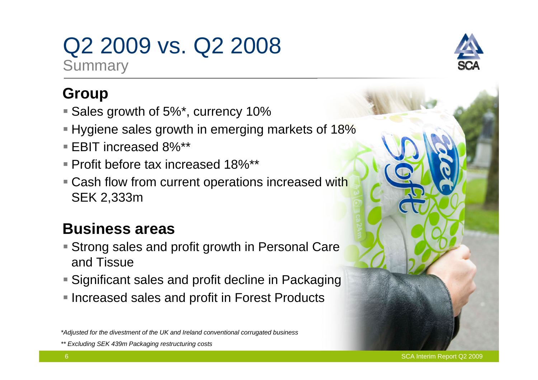## Q2 2009 vs. Q2 2008

**Summary** 

## **Group**

- Sales growth of 5%\*, currency 10%
- Hygiene sales growth in emerging markets of 18%
- EBIT increased 8%\*\*
- Profit before tax increased 18%\*\*
- **Cash flow from current operations increased with** SEK 2,333m

## **Business areas**

- Strong sales and profit growth in Personal Care and Tissue
- Significant sales and profit decline in Packaging
- **Increased sales and profit in Forest Products**



*<sup>\*</sup>Adjusted for the divestment of the UK and Ireland conventional corrugated business*

*<sup>\*\*</sup> Excluding SEK 439m Packaging restructuring costs*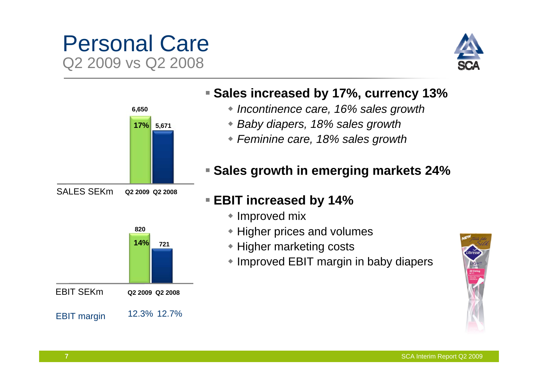## Personal Care Q2 2009 vs Q2 2008





#### **Sales increased by 17%, currency 13%**

- *Incontinence care, 16% sales growth*
- *Baby diapers, 18% sales growth*
- *Feminine care, 18% sales growth*

#### **Sales growth in emerging markets 24%**

### **EBIT increased by 14%**

- Improved mix
- Higher prices and volumes
- **\* Higher marketing costs**
- Improved EBIT margin in baby diapers



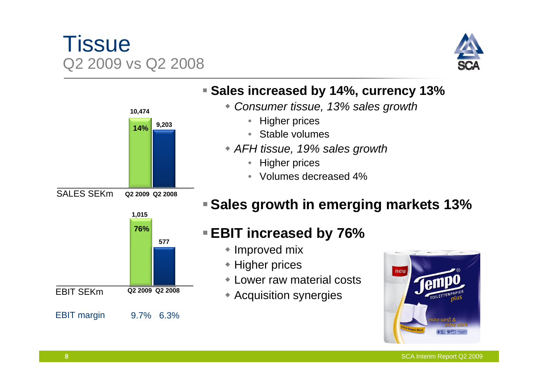## **Tissue** Q2 2009 vs Q2 2008





#### **Sales increased by 14%, currency 13%**

- *Consumer tissue, 13% sales growth*
	- Higher prices
	- •Stable volumes
- *AFH tissue, 19% sales growth*
	- •Higher prices
	- Volumes decreased 4%

## **Sales growth in emerging markets 13%**

## **EBIT increased by 76%**

- Improved mix
- ◆ Higher prices
- Lower raw material costs
- Acquisition synergies

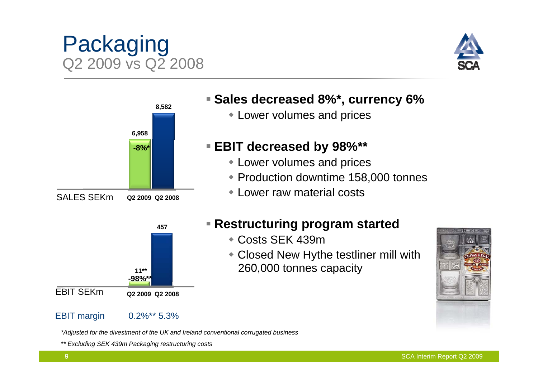#### **-98%\*\***EBIT SEKm**Q2 2009 Q2 2008**

**11\*\***

#### EBIT margin 0.2%\*\* 5.3%

*\*Adjusted for the divestment of the UK and Ireland conventional corrugated business*

*\*\* Excluding SEK 439m Packaging restructuring costs*

**Restructuring program started**

Lower volumes and prices

Lower volumes and prices

Lower raw material costs

**EBIT decreased by 98%\*\***

- Costs SEK 439m
- Closed New Hythe testliner mill with 260,000 tonnes capacity

Production downtime 158,000 tonnes





Packaging

Q2 2009 vs Q2 2008



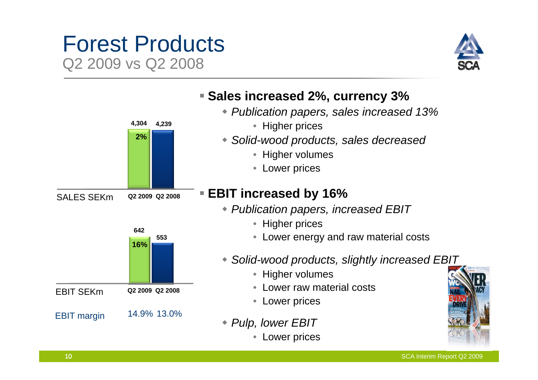## Forest Products Q2 2009 vs Q2 2008



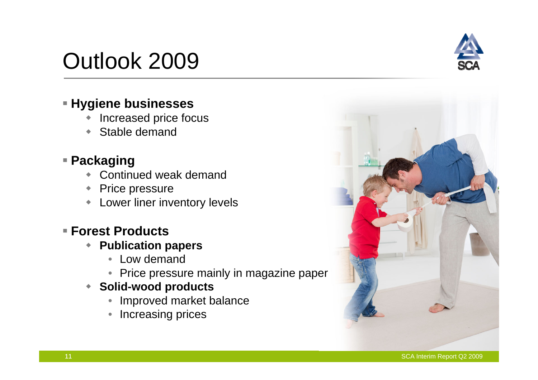#### SCA Interim Report Q2 2009

## Outlook 2009

#### **Hygiene businesses**

- $\blacklozenge$ Increased price focus
- $\blacklozenge$ Stable demand

#### **Packaging**

- $\blacklozenge$ Continued weak demand
- $\blacklozenge$ Price pressure
- $\blacklozenge$ Lower liner inventory levels

#### **Forest Products**

- $\blacklozenge$  **Publication papers**
	- Low demand
	- Price pressure mainly in magazine paper
- $\blacklozenge$  **Solid-wood products**
	- Improved market balance
	- $\bullet$ Increasing prices



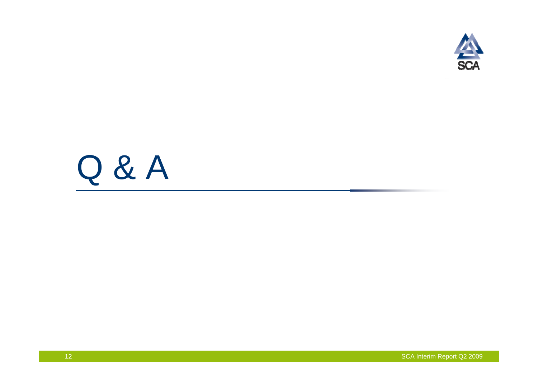

## Q & A